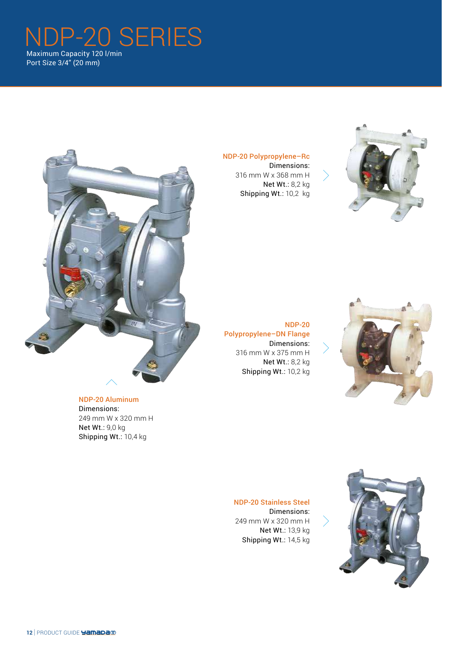# NDP-20 SERIES Maximum Capacity 120 l/min Port Size 3/4" (20 mm)



NDP-20 Aluminum Dimensions: 249 mm W x 320 mm H Net Wt.: 9,0 kg Shipping Wt.: 10,4 kg

NDP-20 Polypropylene–Rc Dimensions: 316 mm W x 368 mm H Net Wt.: 8,2 kg Shipping Wt.: 10,2 kg



NDP-20 Polypropylene–DN Flange Dimensions: 316 mm W x 375 mm H Net Wt.: 8,2 kg Shipping Wt.: 10,2 kg



NDP-20 Stainless Steel Dimensions: 249 mm W x 320 mm H Net Wt.: 13,9 kg Shipping Wt.: 14,5 kg